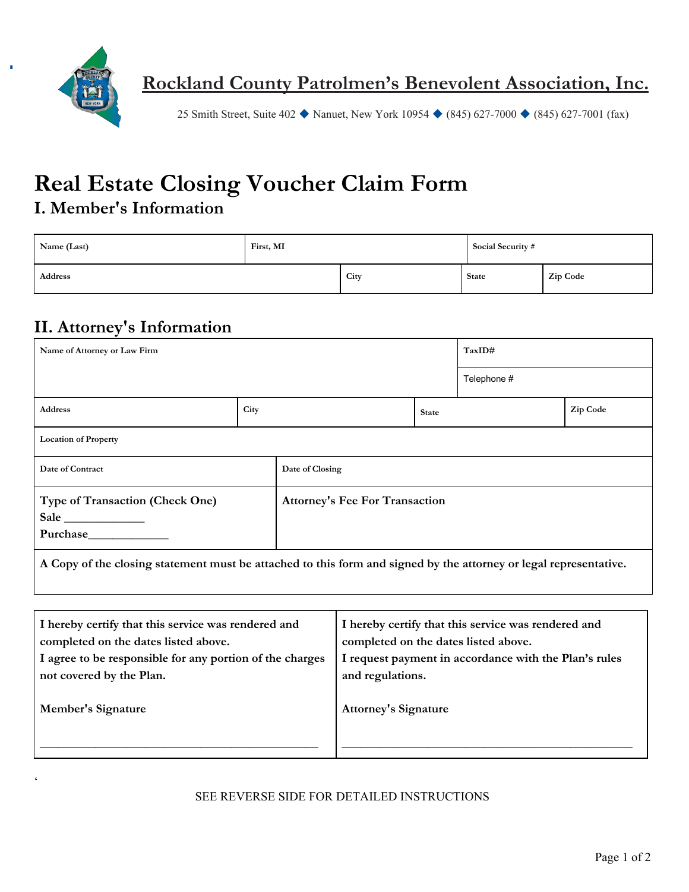

25 Smith Street, Suite 402 ◆ Nanuet, New York 10954 ◆ (845) 627-7000 ◆ (845) 627-7001 (fax)

# **Real Estate Closing Voucher Claim Form**

### **I. Member's Information**

| Name (Last) | First, MI |      | Social Security # |          |
|-------------|-----------|------|-------------------|----------|
| Address     |           | City | <b>State</b>      | Zip Code |

#### **II. Attorney's Information**

 $\zeta$ 

| Name of Attorney or Law Firm                                                                                      |      |                                       | TaxID#       |             |          |  |  |
|-------------------------------------------------------------------------------------------------------------------|------|---------------------------------------|--------------|-------------|----------|--|--|
|                                                                                                                   |      |                                       |              | Telephone # |          |  |  |
| <b>Address</b>                                                                                                    | City |                                       | <b>State</b> |             | Zip Code |  |  |
| <b>Location of Property</b>                                                                                       |      |                                       |              |             |          |  |  |
| Date of Contract                                                                                                  |      | Date of Closing                       |              |             |          |  |  |
| <b>Type of Transaction (Check One)</b><br>Sale<br><b>Purchase</b>                                                 |      | <b>Attorney's Fee For Transaction</b> |              |             |          |  |  |
| A Copy of the closing statement must be attached to this form and signed by the attorney or legal representative. |      |                                       |              |             |          |  |  |

| I hereby certify that this service was rendered and      | I hereby certify that this service was rendered and   |
|----------------------------------------------------------|-------------------------------------------------------|
| completed on the dates listed above.                     | completed on the dates listed above.                  |
| I agree to be responsible for any portion of the charges | I request payment in accordance with the Plan's rules |
| not covered by the Plan.                                 | and regulations.                                      |
| <b>Member's Signature</b>                                | <b>Attorney's Signature</b>                           |

#### SEE REVERSE SIDE FOR DETAILED INSTRUCTIONS